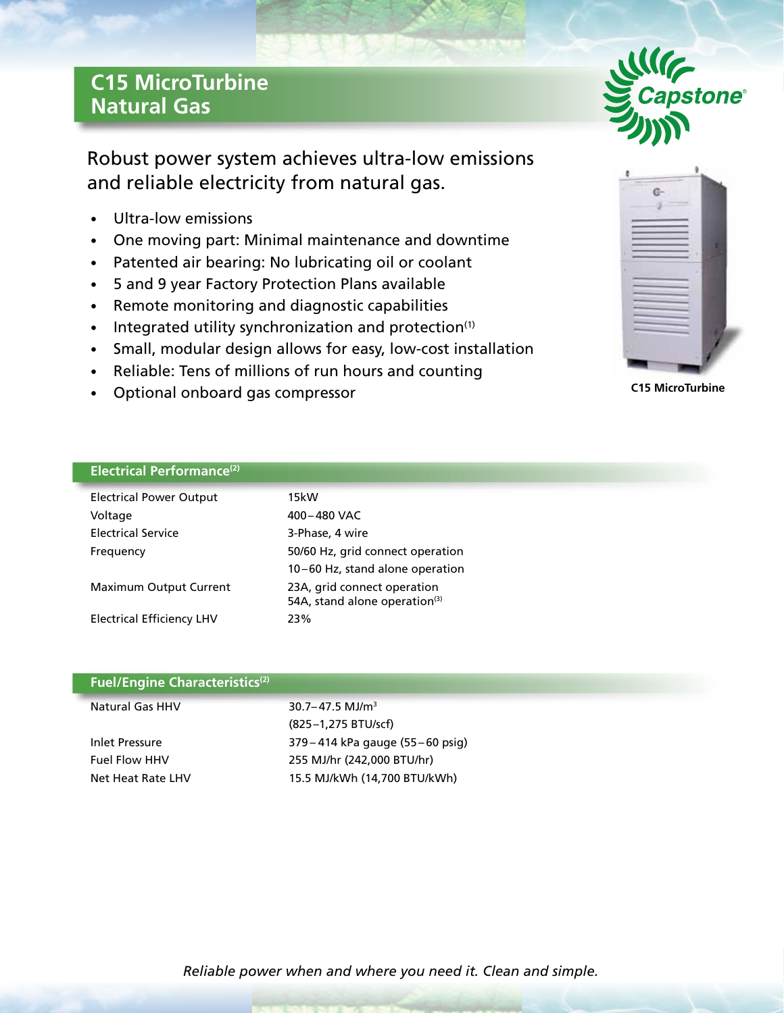## **C15 MicroTurbine Natural Gas**

Robust power system achieves ultra-low emissions and reliable electricity from natural gas.

- Ultra-low emissions
- One moving part: Minimal maintenance and downtime
- Patented air bearing: No lubricating oil or coolant
- 5 and 9 year Factory Protection Plans available
- Remote monitoring and diagnostic capabilities
- Integrated utility synchronization and protection<sup>(1)</sup>
- Small, modular design allows for easy, low-cost installation
- Reliable: Tens of millions of run hours and counting
- Optional onboard gas compressor





**C15 MicroTurbine**

|  | Electrical Performance <sup>(2)</sup> |  |
|--|---------------------------------------|--|
|  |                                       |  |

| <b>Electrical Power Output</b>   | 15kW                                                                     |
|----------------------------------|--------------------------------------------------------------------------|
| Voltage                          | 400-480 VAC                                                              |
| <b>Electrical Service</b>        | 3-Phase, 4 wire                                                          |
| Frequency                        | 50/60 Hz, grid connect operation                                         |
|                                  | 10-60 Hz, stand alone operation                                          |
| <b>Maximum Output Current</b>    | 23A, grid connect operation<br>54A, stand alone operation <sup>(3)</sup> |
| <b>Electrical Efficiency LHV</b> | 23%                                                                      |

| <b>Fuel/Engine Characteristics</b> <sup>(2)</sup> |
|---------------------------------------------------|
|---------------------------------------------------|

| Natural Gas HHV      | $30.7 - 47.5$ MJ/m <sup>3</sup>    |
|----------------------|------------------------------------|
|                      | (825-1,275 BTU/scf)                |
| Inlet Pressure       | 379 – 414 kPa gauge (55 – 60 psig) |
| <b>Fuel Flow HHV</b> | 255 MJ/hr (242,000 BTU/hr)         |
| Net Heat Rate LHV    | 15.5 MJ/kWh (14,700 BTU/kWh)       |
|                      |                                    |

*Reliable power when and where you need it. Clean and simple.*